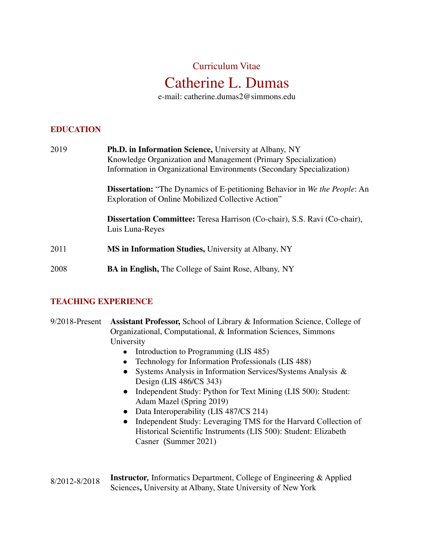# Catherine L. Dumas Curriculum Vitae

e-mail: [catherine.dumas2@simmons.edu](mailto:catherine.dumas2@simmons.edu)

## **EDUCATION**

| 2019 | <b>Ph.D. in Information Science, University at Albany, NY</b><br>Knowledge Organization and Management (Primary Specialization)<br>Information in Organizational Environments (Secondary Specialization) |
|------|----------------------------------------------------------------------------------------------------------------------------------------------------------------------------------------------------------|
|      | <b>Dissertation:</b> "The Dynamics of E-petitioning Behavior in We the People: An<br>Exploration of Online Mobilized Collective Action"                                                                  |
|      | <b>Dissertation Committee:</b> Teresa Harrison (Co-chair), S.S. Ravi (Co-chair),<br>Luis Luna-Reyes                                                                                                      |
| 2011 | <b>MS in Information Studies, University at Albany, NY</b>                                                                                                                                               |
| 2008 | <b>BA in English, The College of Saint Rose, Albany, NY</b>                                                                                                                                              |

#### **TEACHING EXPERIENCE**

- 9/2018-Present **Assistant Professor,** School of Library & Information Science, College of Organizational, Computational, & Information Sciences, Simmons University
	- **●** Introduction to Programming (LIS 485)
	- **●** Technology for Information Professionals (LIS 488)
	- ● Systems Analysis in Information Services/Systems Analysis & Design (LIS 486/CS 343)
	- ● Independent Study: Python for Text Mining (LIS 500): Student: Adam Mazel (Spring 2019)
	- Data Interoperability (LIS 487/CS 214)
	- Independent Study: Leveraging TMS for the Harvard Collection of Historical Scientific Instruments (LIS 500): Student: Elizabeth Casner (Summer 2021)
- **Instructor***,* Informatics Department, College of Engineering & Applied Sciences**,** University at Albany, State University of New York8/2012-8/2018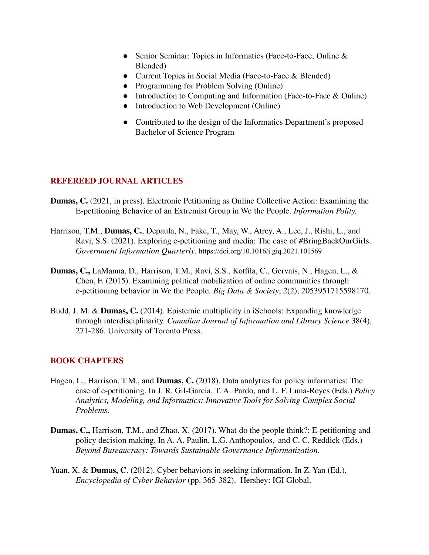- ● Senior Seminar: Topics in Informatics (Face-to-Face, Online & Blended)
- Current Topics in Social Media (Face-to-Face & Blended)
- Programming for Problem Solving (Online)
- Introduction to Computing and Information (Face-to-Face & Online)
- Introduction to Web Development (Online)
- **●** Contributed to the design of the Informatics Department's proposed Bachelor of Science Program

## **REFEREED JOURNAL ARTICLES**

- **Dumas, C.** (2021, in press). Electronic Petitioning as Online Collective Action: Examining the E-petitioning Behavior of an Extremist Group in We the People. *Information Polity.*
- Harrison, T.M., **Dumas, C.**, Depaula, N., Fake, T., May, W., Atrey, A., Lee, J., Rishi, L., and Ravi, S.S. (2021). Exploring e-petitioning and media: The case of #BringBackOurGirls.  *Government Information Quarterly.* <https://doi.org/10.1016/j.giq.2021.101569>
- **Dumas, C.,** LaManna, D., Harrison, T.M., Ravi, S.S., Kotfila, C., Gervais, N., Hagen, L., & Chen, F. (2015). Examining political mobilization of online communities through e-petitioning behavior in We the People. *Big Data & Society*, *2*(2), 2053951715598170.
- Budd, J. M. & **Dumas, C.** (2014). Epistemic multiplicity in iSchools: Expanding knowledge  through interdisciplinarity. *Canadian Journal of Information and Library Science* 38(4), 271-286. University of Toronto Press.

#### **BOOK CHAPTERS**

- Hagen, L., Harrison, T.M., and **Dumas, C.** (2018). Data analytics for policy informatics: The case of e-petitioning. In J. R. Gil-Garcia, T. A. Pardo, and L. F. Luna-Reyes (Eds.) *Policy Analytics, Modeling, and Informatics: Innovative Tools for Solving Complex Social Problems*.
- **Dumas, C.,** Harrison, T.M., and Zhao, X. (2017). What do the people think?: E-petitioning and policy decision making. In A. A. Paulin, L.G. Anthopoulos, and C. C. Reddick (Eds.)  *Beyond Bureaucracy: Towards Sustainable Governance Informatization*.
- Yuan, X. & **Dumas, C**. (2012). Cyber behaviors in seeking information. In Z. Yan (Ed.),  *Encyclopedia of Cyber Behavior* (pp. 365-382). Hershey: IGI Global.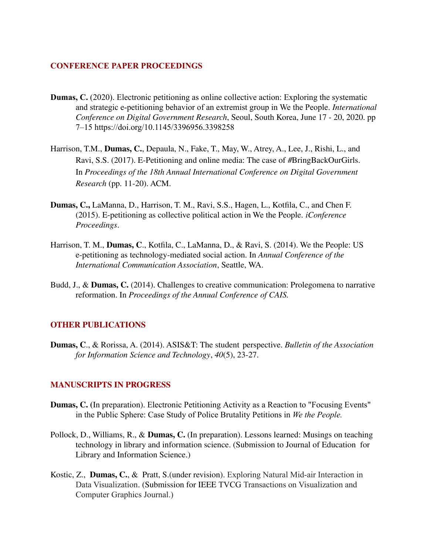#### **CONFERENCE PAPER PROCEEDINGS**

- *Conference on Digital Government Research*, Seoul, South Korea, June 17 20, 2020. pp **Dumas, C.** (2020). Electronic petitioning as online collective action: Exploring the systematic and strategic e-petitioning behavior of an extremist group in We the People. *International* 7–15 <https://doi.org/10.1145/3396956.3398258>
- Harrison, T.M., **Dumas, C.**, Depaula, N., Fake, T., May, W., Atrey, A., Lee, J., Rishi, L., and Ravi, S.S. (2017). E-Petitioning and online media: The case of #BringBackOurGirls.  In *Proceedings of the 18th Annual International Conference on Digital Government Research* (pp. 11-20). ACM.
- **Dumas, C.,** LaManna, D., Harrison, T. M., Ravi, S.S., Hagen, L., Kotfila, C., and Chen F. (2015). E-petitioning as collective political action in We the People. *iConference Proceedings*.
- Harrison, T. M., **Dumas, C**., Kotfila, C., LaManna, D., & Ravi, S. (2014). We the People: US e-petitioning as technology-mediated social action. In *Annual Conference of the International Communication Association*, Seattle, WA.
- Budd, J., & **Dumas, C.** (2014). Challenges to creative communication: Prolegomena to narrative  reformation. In *Proceedings of the Annual Conference of CAIS.*

#### **OTHER PUBLICATIONS**

 **Dumas, C**., & Rorissa, A. (2014). ASIS&T: The student perspective. *Bulletin of the Association for Information Science and Technology*, *40*(5), 23-27.

## **MANUSCRIPTS IN PROGRESS**

- **Dumas, C. (**In preparation). Electronic Petitioning Activity as a Reaction to "Focusing Events" in the Public Sphere: Case Study of Police Brutality Petitions in *We the People.*
- Pollock, D., Williams, R., & **Dumas, C.** (In preparation). Lessons learned: Musings on teaching technology in library and information science. (Submission to Journal of Education for Library and Information Science.)
- Kostic, Z., **Dumas, C.**, & Pratt, S.(under revision). Exploring Natural Mid-air Interaction in Data Visualization. (Submission for IEEE TVCG Transactions on Visualization and Computer Graphics Journal.)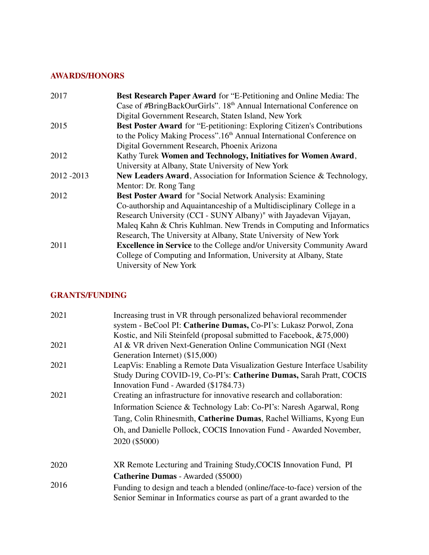## **AWARDS/HONORS**

| 2017      | <b>Best Research Paper Award</b> for "E-Petitioning and Online Media: The         |
|-----------|-----------------------------------------------------------------------------------|
|           | Case of #BringBackOurGirls". 18 <sup>th</sup> Annual International Conference on  |
|           | Digital Government Research, Staten Island, New York                              |
| 2015      | Best Poster Award for "E-petitioning: Exploring Citizen's Contributions           |
|           | to the Policy Making Process".16 <sup>th</sup> Annual International Conference on |
|           | Digital Government Research, Phoenix Arizona                                      |
| 2012      | Kathy Turek Women and Technology, Initiatives for Women Award,                    |
|           | University at Albany, State University of New York                                |
| 2012-2013 | New Leaders Award, Association for Information Science & Technology,              |
|           | Mentor: Dr. Rong Tang                                                             |
| 2012      | <b>Best Poster Award</b> for "Social Network Analysis: Examining                  |
|           | Co-authorship and Aquaintanceship of a Multidisciplinary College in a             |
|           | Research University (CCI - SUNY Albany)" with Jayadevan Vijayan,                  |
|           | Maleq Kahn & Chris Kuhlman. New Trends in Computing and Informatics               |
|           | Research, The University at Albany, State University of New York                  |
| 2011      | <b>Excellence in Service</b> to the College and/or University Community Award     |
|           | College of Computing and Information, University at Albany, State                 |
|           | University of New York                                                            |
|           |                                                                                   |

## **GRANTS/FUNDING**

| 2021 | Increasing trust in VR through personalized behavioral recommender<br>system - BeCool PI: Catherine Dumas, Co-PI's: Lukasz Porwol, Zona              |
|------|------------------------------------------------------------------------------------------------------------------------------------------------------|
|      | Kostic, and Nili Steinfeld (proposal submitted to Facebook, &75,000)                                                                                 |
| 2021 | AI & VR driven Next-Generation Online Communication NGI (Next                                                                                        |
|      | Generation Internet) (\$15,000)                                                                                                                      |
| 2021 | LeapVis: Enabling a Remote Data Visualization Gesture Interface Usability                                                                            |
|      | Study During COVID-19, Co-PI's: Catherine Dumas, Sarah Pratt, COCIS                                                                                  |
|      | Innovation Fund - Awarded (\$1784.73)                                                                                                                |
| 2021 | Creating an infrastructure for innovative research and collaboration:                                                                                |
|      | Information Science & Technology Lab: Co-PI's: Naresh Agarwal, Rong                                                                                  |
|      | Tang, Colin Rhinesmith, Catherine Dumas, Rachel Williams, Kyong Eun                                                                                  |
|      | Oh, and Danielle Pollock, COCIS Innovation Fund - Awarded November,                                                                                  |
|      | 2020 (\$5000)                                                                                                                                        |
| 2020 | XR Remote Lecturing and Training Study, COCIS Innovation Fund, PI                                                                                    |
|      | <b>Catherine Dumas</b> - Awarded (\$5000)                                                                                                            |
| 2016 | Funding to design and teach a blended (online/face-to-face) version of the<br>Senior Seminar in Informatics course as part of a grant awarded to the |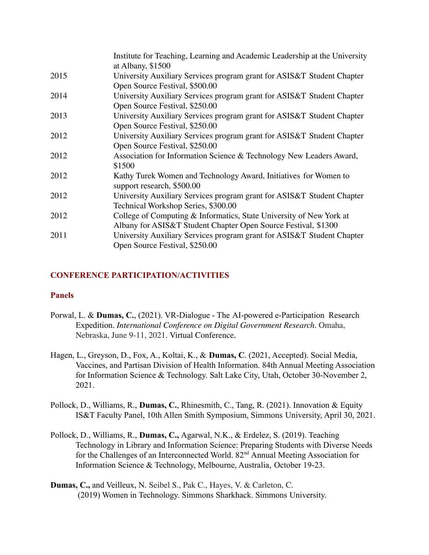|      | Institute for Teaching, Learning and Academic Leadership at the University |
|------|----------------------------------------------------------------------------|
|      | at Albany, \$1500                                                          |
| 2015 | University Auxiliary Services program grant for ASIS&T Student Chapter     |
|      | Open Source Festival, \$500.00                                             |
| 2014 | University Auxiliary Services program grant for ASIS&T Student Chapter     |
|      | Open Source Festival, \$250.00                                             |
| 2013 | University Auxiliary Services program grant for ASIS&T Student Chapter     |
|      | Open Source Festival, \$250.00                                             |
| 2012 | University Auxiliary Services program grant for ASIS&T Student Chapter     |
|      | Open Source Festival, \$250.00                                             |
| 2012 | Association for Information Science & Technology New Leaders Award,        |
|      | \$1500                                                                     |
| 2012 | Kathy Turek Women and Technology Award, Initiatives for Women to           |
|      | support research, \$500.00                                                 |
| 2012 | University Auxiliary Services program grant for ASIS&T Student Chapter     |
|      | Technical Workshop Series, \$300.00                                        |
| 2012 | College of Computing & Informatics, State University of New York at        |
|      | Albany for ASIS&T Student Chapter Open Source Festival, \$1300             |
| 2011 | University Auxiliary Services program grant for ASIS&T Student Chapter     |
|      | Open Source Festival, \$250.00                                             |
|      |                                                                            |

## **CONFERENCE PARTICIPATION/ACTIVITIES**

#### **Panels**

- Expedition. *International Conference on Digital Government Research*. Omaha, Nebraska, June 9-11, 2021. Virtual Conference. Porwal, L. & **Dumas, C.**, (2021). VR-Dialogue - The AI-powered e-Participation Research
- Hagen, L., Greyson, D., Fox, A., Koltai, K., & **Dumas, C**. (2021, Accepted). Social Media, Vaccines, and Partisan Division of Health Information. 84th Annual Meeting Association for Information Science & Technology. Salt Lake City, Utah, October 30-November 2, 2021.
- Pollock, D., Williams, R., **Dumas, C.**, Rhinesmith, C., Tang, R. (2021). Innovation & Equity IS&T Faculty Panel, 10th Allen Smith Symposium, Simmons University, April 30, 2021.
- Pollock, D., Williams, R., **Dumas, C.,** Agarwal, N.K., & Erdelez, S. (2019). Teaching Technology in Library and Information Science: Preparing Students with Diverse Needs for the Challenges of an Interconnected World. 82<sup>nd</sup> Annual Meeting Association for Information Science & Technology, Melbourne, Australia, October 19-23.
- **Dumas, C.,** and Veilleux, N. Seibel S., Pak C., Hayes, V. & Carleton, C. (2019) Women in Technology. Simmons Sharkhack. Simmons University.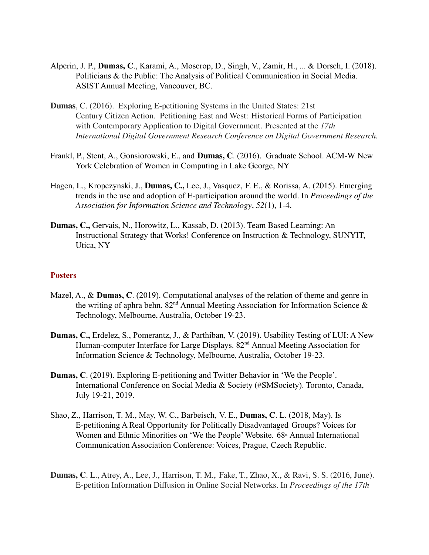- Alperin, J. P., **Dumas, C**., Karami, A., Moscrop, D., Singh, V., Zamir, H., ... & Dorsch, I. (2018). Politicians & the Public: The Analysis of Political Communication in Social Media. ASIST Annual Meeting, Vancouver, BC.
- **Dumas**, C. (2016). Exploring E-petitioning Systems in the United States: 21st Century Citizen Action. Petitioning East and West: Historical Forms of Participation with Contemporary Application to Digital Government. Presented at the *17th International Digital Government Research Conference on Digital Government Research.*
- Frankl, P., Stent, A., Gonsiorowski, E., and **Dumas, C**. (2016). Graduate School. ACM-W New York Celebration of Women in Computing in Lake George, NY
- Hagen, L., Kropczynski, J., **Dumas, C.,** Lee, J., Vasquez, F. E., & Rorissa, A. (2015). Emerging  trends in the use and adoption of E-participation around the world. In *Proceedings of the Association for Information Science and Technology*, *52*(1), 1-4.
- **Dumas, C.,** Gervais, N., Horowitz, L., Kassab, D. (2013). Team Based Learning: An Instructional Strategy that Works! Conference on Instruction & Technology, SUNYIT, Utica, NY

#### **Posters**

- Mazel, A., & **Dumas, C**. (2019). Computational analyses of the relation of theme and genre in the writing of aphra behn.  $82<sup>nd</sup>$  Annual Meeting Association for Information Science  $\&$ Technology, Melbourne, Australia, October 19-23.
- **Dumas, C.,** Erdelez, S., Pomerantz, J., & Parthiban, V. (2019). Usability Testing of LUI: A New Human-computer Interface for Large Displays. 82<sup>nd</sup> Annual Meeting Association for Information Science & Technology, Melbourne, Australia, October 19-23.
- **Dumas, C**. (2019). Exploring E-petitioning and Twitter Behavior in 'We the People'. International Conference on Social Media & Society (#SMSociety). Toronto, Canada, July 19-21, 2019.
- Shao, Z., Harrison, T. M., May, W. C., Barbeisch, V. E., **Dumas, C**. L. (2018, May). Is E-petitioning A Real Opportunity for Politically Disadvantaged Groups? Voices for Women and Ethnic Minorities on 'We the People' Website. 68<sup>th</sup> Annual International Communication Association Conference: Voices, Prague, Czech Republic.
- **Dumas, C**. L., Atrey, A., Lee, J., Harrison, T. M., Fake, T., Zhao, X., & Ravi, S. S. (2016, June).  E-petition Information Diffusion in Online Social Networks. In *Proceedings of the 17th*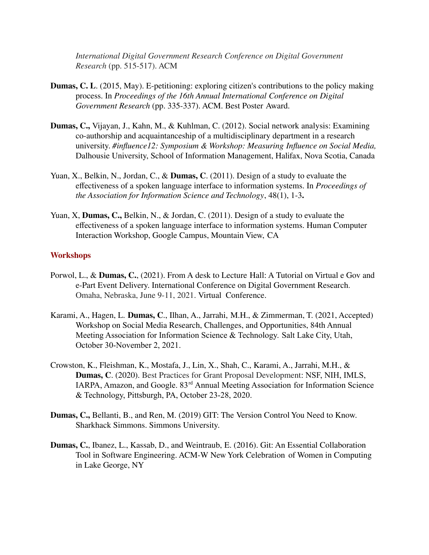*International Digital Government Research Conference on Digital Government Research* (pp. 515-517). ACM

- **Dumas, C. L**. (2015, May). E-petitioning: exploring citizen's contributions to the policy making  process. In *Proceedings of the 16th Annual International Conference on Digital Government Research* (pp. 335-337). ACM. Best Poster Award.
- **Dumas, C.,** Vijayan, J., Kahn, M., & Kuhlman, C. (2012). Social network analysis: Examining co-authorship and acquaintanceship of a multidisciplinary department in a research  university. *#influence12: Symposium & Workshop: Measuring Influence on Social Media,* Dalhousie University, School of Information Management, Halifax, Nova Scotia, Canada
- Yuan, X., Belkin, N., Jordan, C., & **Dumas, C**. (2011). Design of a study to evaluate the effectiveness of a spoken language interface to information systems. In *Proceedings of the Association for Information Science and Technology*, 48(1), 1-3**.**
- Yuan, X, **Dumas, C.,** Belkin, N., & Jordan, C. (2011). Design of a study to evaluate the effectiveness of a spoken language interface to information systems. Human Computer Interaction Workshop, Google Campus, Mountain View, CA

#### **Workshops**

- Porwol, L., & **Dumas, C.**, (2021). From A desk to Lecture Hall: A Tutorial on Virtual e Gov and e-Part Event Delivery. International Conference on Digital Government Research. Omaha, Nebraska, June 9-11, 2021. Virtual Conference.
- Karami, A., Hagen, L. **Dumas, C**., Ilhan, A., Jarrahi, M.H., & Zimmerman, T. (2021, Accepted) Workshop on Social Media Research, Challenges, and Opportunities, 84th Annual Meeting Association for Information Science & Technology. Salt Lake City, Utah, October 30-November 2, 2021.
- Crowston, K., Fleishman, K., Mostafa, J., Lin, X., Shah, C., Karami, A., Jarrahi, M.H., & **Dumas, C**. (2020). Best Practices for Grant Proposal Development: NSF, NIH, IMLS, IARPA, Amazon, and Google. 83rd Annual Meeting Association for Information Science & Technology, Pittsburgh, PA, October 23-28, 2020.
- **Dumas, C.,** Bellanti, B., and Ren, M. (2019) GIT: The Version Control You Need to Know. Sharkhack Simmons. Simmons University.
- **Dumas, C.**, Ibanez, L., Kassab, D., and Weintraub, E. (2016). Git: An Essential Collaboration Tool in Software Engineering. ACM-W New York Celebration of Women in Computing in Lake George, NY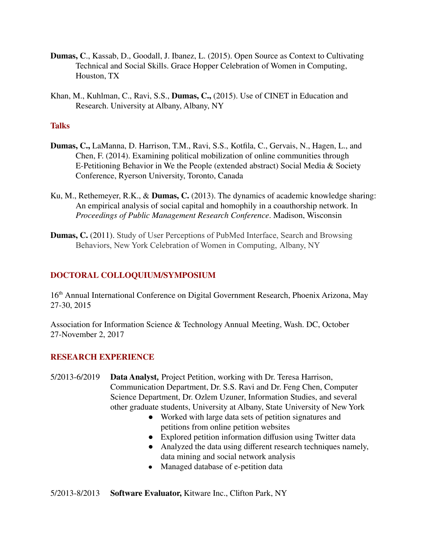- **Dumas, C**., Kassab, D., Goodall, J. Ibanez, L. (2015). Open Source as Context to Cultivating Technical and Social Skills. Grace Hopper Celebration of Women in Computing, Houston, TX
- Khan, M., Kuhlman, C., Ravi, S.S., **Dumas, C.,** (2015). Use of CINET in Education and Research. University at Albany, Albany, NY

#### **Talks**

- **Dumas, C.,** LaManna, D. Harrison, T.M., Ravi, S.S., Kotfila, C., Gervais, N., Hagen, L., and Chen, F. (2014). Examining political mobilization of online communities through E-Petitioning Behavior in We the People (extended abstract) Social Media & Society Conference, Ryerson University, Toronto, Canada
- Ku, M., Rethemeyer, R.K., & **Dumas, C.** (2013). The dynamics of academic knowledge sharing: An empirical analysis of social capital and homophily in a coauthorship network. In  *Proceedings of Public Management Research Conference*. Madison, Wisconsin
- **Dumas, C.** (2011). Study of User Perceptions of PubMed Interface, Search and Browsing Behaviors, New York Celebration of Women in Computing, Albany, NY

## **DOCTORAL COLLOQUIUM/SYMPOSIUM**

16<sup>th</sup> Annual International Conference on Digital Government Research, Phoenix Arizona, May 27-30, 2015

 Association for Information Science & Technology Annual Meeting, Wash. DC, October 27-November 2, 2017

#### **RESEARCH EXPERIENCE**

- 5/2013-6/2019 **Data Analyst***,* Project Petition, working with Dr. Teresa Harrison, Communication Department, Dr. S.S. Ravi and Dr. Feng Chen, Computer Science Department, Dr. Ozlem Uzuner, Information Studies, and several other graduate students, University at Albany, State University of New York
	- ● Worked with large data sets of petition signatures and petitions from online petition websites
	- Explored petition information diffusion using Twitter data
	- ● Analyzed the data using different research techniques namely, data mining and social network analysis
	- Managed database of e-petition data

5/2013-8/2013 **Software Evaluator,** Kitware Inc., Clifton Park, NY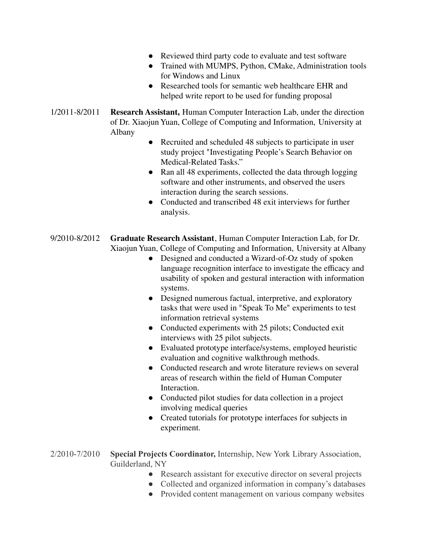- Reviewed third party code to evaluate and test software
- ● Trained with MUMPS, Python, CMake, Administration tools for Windows and Linux
- ● Researched tools for semantic web healthcare EHR and helped write report to be used for funding proposal
- 1/2011-8/2011 **Research Assistant,** Human Computer Interaction Lab, under the direction of Dr. Xiaojun Yuan, College of Computing and Information, University at Albany
	- **●** Recruited and scheduled 48 subjects to participate in user study project "Investigating People's Search Behavior on Medical-Related Tasks."
	- ● Ran all 48 experiments, collected the data through logging software and other instruments, and observed the users interaction during the search sessions.
	- ● Conducted and transcribed 48 exit interviews for further analysis.
- 9/2010-8/2012 **Graduate Research Assistant**, Human Computer Interaction Lab, for Dr. Xiaojun Yuan, College of Computing and Information, University at Albany
	- ● Designed and conducted a Wizard-of-Oz study of spoken language recognition interface to investigate the efficacy and usability of spoken and gestural interaction with information systems.
	- ● Designed numerous factual, interpretive, and exploratory tasks that were used in "Speak To Me" experiments to test information retrieval systems
	- ● Conducted experiments with 25 pilots; Conducted exit interviews with 25 pilot subjects.
	- ● Evaluated prototype interface/systems, employed heuristic evaluation and cognitive walkthrough methods.
	- ● Conducted research and wrote literature reviews on several areas of research within the field of Human Computer Interaction.
	- ● Conducted pilot studies for data collection in a project involving medical queries
	- ● Created tutorials for prototype interfaces for subjects in experiment.
- 2/2010-7/2010 **Special Projects Coordinator,** Internship, New York Library Association, Guilderland, NY
	- Research assistant for executive director on several projects
	- Collected and organized information in company's databases
	- Provided content management on various company websites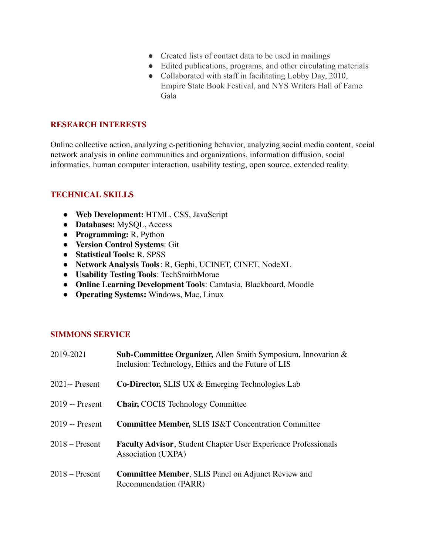- Created lists of contact data to be used in mailings
- Edited publications, programs, and other circulating materials
- Collaborated with staff in facilitating Lobby Day, 2010, Empire State Book Festival, and NYS Writers Hall of Fame Gala

#### **RESEARCH INTERESTS**

 Online collective action, analyzing e-petitioning behavior, analyzing social media content, social network analysis in online communities and organizations, information diffusion, social informatics, human computer interaction, usability testing, open source, extended reality.

#### **TECHNICAL SKILLS**

- **Web Development:** HTML, CSS, JavaScript
- **Databases:** MySQL, Access
- **Programming:** R, Python
- **Version Control Systems**: Git
- **Statistical Tools:** R, SPSS
- **Network Analysis Tools**: R, Gephi, UCINET, CINET, NodeXL
- **Usability Testing Tools**: TechSmithMorae
- **Online Learning Development Tools**: Camtasia, Blackboard, Moodle
- **Operating Systems:** Windows, Mac, Linux

## **SIMMONS SERVICE**

| 2019-2021        | <b>Sub-Committee Organizer, Allen Smith Symposium, Innovation &amp;</b><br>Inclusion: Technology, Ethics and the Future of LIS |
|------------------|--------------------------------------------------------------------------------------------------------------------------------|
| $2021 -$ Present | <b>Co-Director, SLIS UX &amp; Emerging Technologies Lab</b>                                                                    |
| 2019 -- Present  | <b>Chair, COCIS Technology Committee</b>                                                                                       |
| 2019 -- Present  | <b>Committee Member, SLIS IS&amp;T Concentration Committee</b>                                                                 |
| $2018 -$ Present | <b>Faculty Advisor, Student Chapter User Experience Professionals</b><br>Association (UXPA)                                    |
| $2018 -$ Present | Committee Member, SLIS Panel on Adjunct Review and<br>Recommendation (PARR)                                                    |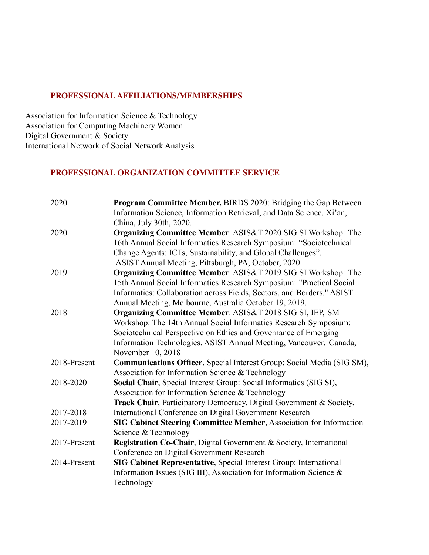#### **PROFESSIONAL AFFILIATIONS/MEMBERSHIPS**

 Association for Information Science & Technology Association for Computing Machinery Women Digital Government & Society International Network of Social Network Analysis

#### **PROFESSIONAL ORGANIZATION COMMITTEE SERVICE**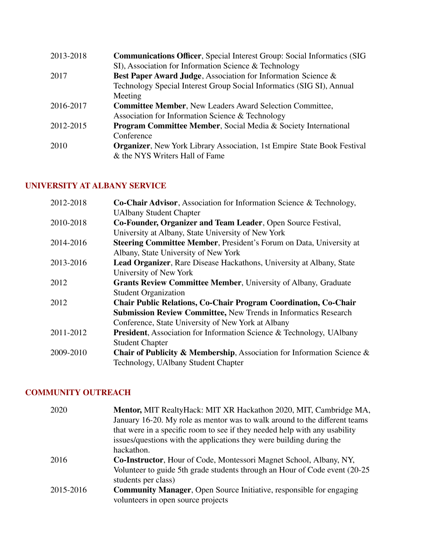| <b>Communications Officer, Special Interest Group: Social Informatics (SIG)</b> |
|---------------------------------------------------------------------------------|
| SI), Association for Information Science & Technology                           |
| Best Paper Award Judge, Association for Information Science &                   |
| Technology Special Interest Group Social Informatics (SIG SI), Annual           |
| Meeting                                                                         |
| <b>Committee Member, New Leaders Award Selection Committee,</b>                 |
| Association for Information Science & Technology                                |
| Program Committee Member, Social Media & Society International                  |
| Conference                                                                      |
| <b>Organizer</b> , New York Library Association, 1st Empire State Book Festival |
| & the NYS Writers Hall of Fame                                                  |
|                                                                                 |

# **UNIVERSITY AT ALBANY SERVICE**

| Co-Chair Advisor, Association for Information Science & Technology,          |
|------------------------------------------------------------------------------|
| <b>UAlbany Student Chapter</b>                                               |
| Co-Founder, Organizer and Team Leader, Open Source Festival,                 |
| University at Albany, State University of New York                           |
| Steering Committee Member, President's Forum on Data, University at          |
| Albany, State University of New York                                         |
| <b>Lead Organizer</b> , Rare Disease Hackathons, University at Albany, State |
| University of New York                                                       |
| <b>Grants Review Committee Member, University of Albany, Graduate</b>        |
| <b>Student Organization</b>                                                  |
| <b>Chair Public Relations, Co-Chair Program Coordination, Co-Chair</b>       |
| <b>Submission Review Committee, New Trends in Informatics Research</b>       |
| Conference, State University of New York at Albany                           |
| <b>President</b> , Association for Information Science & Technology, UAIbany |
| <b>Student Chapter</b>                                                       |
| Chair of Publicity & Membership, Association for Information Science &       |
| Technology, UAlbany Student Chapter                                          |
|                                                                              |

# **COMMUNITY OUTREACH**

| 2020      | Mentor, MIT RealtyHack: MIT XR Hackathon 2020, MIT, Cambridge MA,                                  |
|-----------|----------------------------------------------------------------------------------------------------|
|           | January 16-20. My role as mentor was to walk around to the different teams                         |
|           | that were in a specific room to see if they needed help with any usability                         |
|           | issues/questions with the applications they were building during the                               |
|           | hackathon.                                                                                         |
| 2016      | <b>Co-Instructor</b> , Hour of Code, Montessori Magnet School, Albany, NY,                         |
|           | Volunteer to guide 5th grade students through an Hour of Code event (20-25)<br>students per class) |
| 2015-2016 | <b>Community Manager, Open Source Initiative, responsible for engaging</b>                         |
|           | volunteers in open source projects                                                                 |